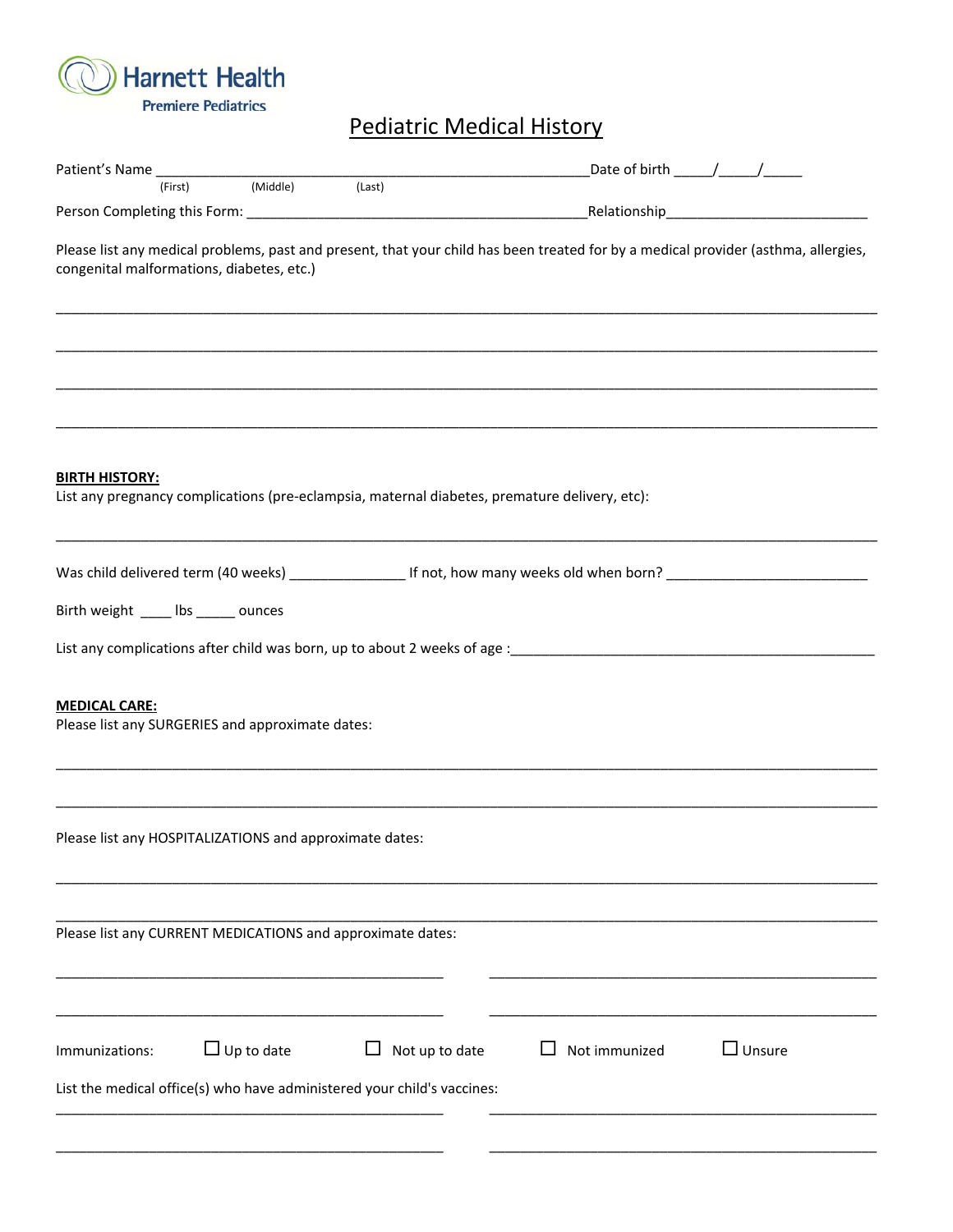

Pediatric Medical History

|                                                                          | (First) | (Middle)          | (Last)                                                                                        |               |                                                                                                                                    |
|--------------------------------------------------------------------------|---------|-------------------|-----------------------------------------------------------------------------------------------|---------------|------------------------------------------------------------------------------------------------------------------------------------|
|                                                                          |         |                   |                                                                                               |               |                                                                                                                                    |
| congenital malformations, diabetes, etc.)                                |         |                   |                                                                                               |               | Please list any medical problems, past and present, that your child has been treated for by a medical provider (asthma, allergies, |
|                                                                          |         |                   |                                                                                               |               |                                                                                                                                    |
|                                                                          |         |                   |                                                                                               |               |                                                                                                                                    |
| <b>BIRTH HISTORY:</b>                                                    |         |                   | List any pregnancy complications (pre-eclampsia, maternal diabetes, premature delivery, etc): |               |                                                                                                                                    |
|                                                                          |         |                   |                                                                                               |               |                                                                                                                                    |
| Birth weight _____ lbs ______ ounces                                     |         |                   |                                                                                               |               |                                                                                                                                    |
|                                                                          |         |                   |                                                                                               |               |                                                                                                                                    |
|                                                                          |         |                   |                                                                                               |               |                                                                                                                                    |
| <b>MEDICAL CARE:</b><br>Please list any SURGERIES and approximate dates: |         |                   |                                                                                               |               |                                                                                                                                    |
|                                                                          |         |                   |                                                                                               |               |                                                                                                                                    |
| Please list any HOSPITALIZATIONS and approximate dates:                  |         |                   |                                                                                               |               |                                                                                                                                    |
|                                                                          |         |                   | Please list any CURRENT MEDICATIONS and approximate dates:                                    |               |                                                                                                                                    |
|                                                                          |         |                   |                                                                                               |               |                                                                                                                                    |
| Immunizations:                                                           |         | $\Box$ Up to date | Not up to date<br>⊔                                                                           | Not immunized | $\Box$ Unsure                                                                                                                      |
|                                                                          |         |                   | List the medical office(s) who have administered your child's vaccines:                       |               |                                                                                                                                    |
|                                                                          |         |                   |                                                                                               |               |                                                                                                                                    |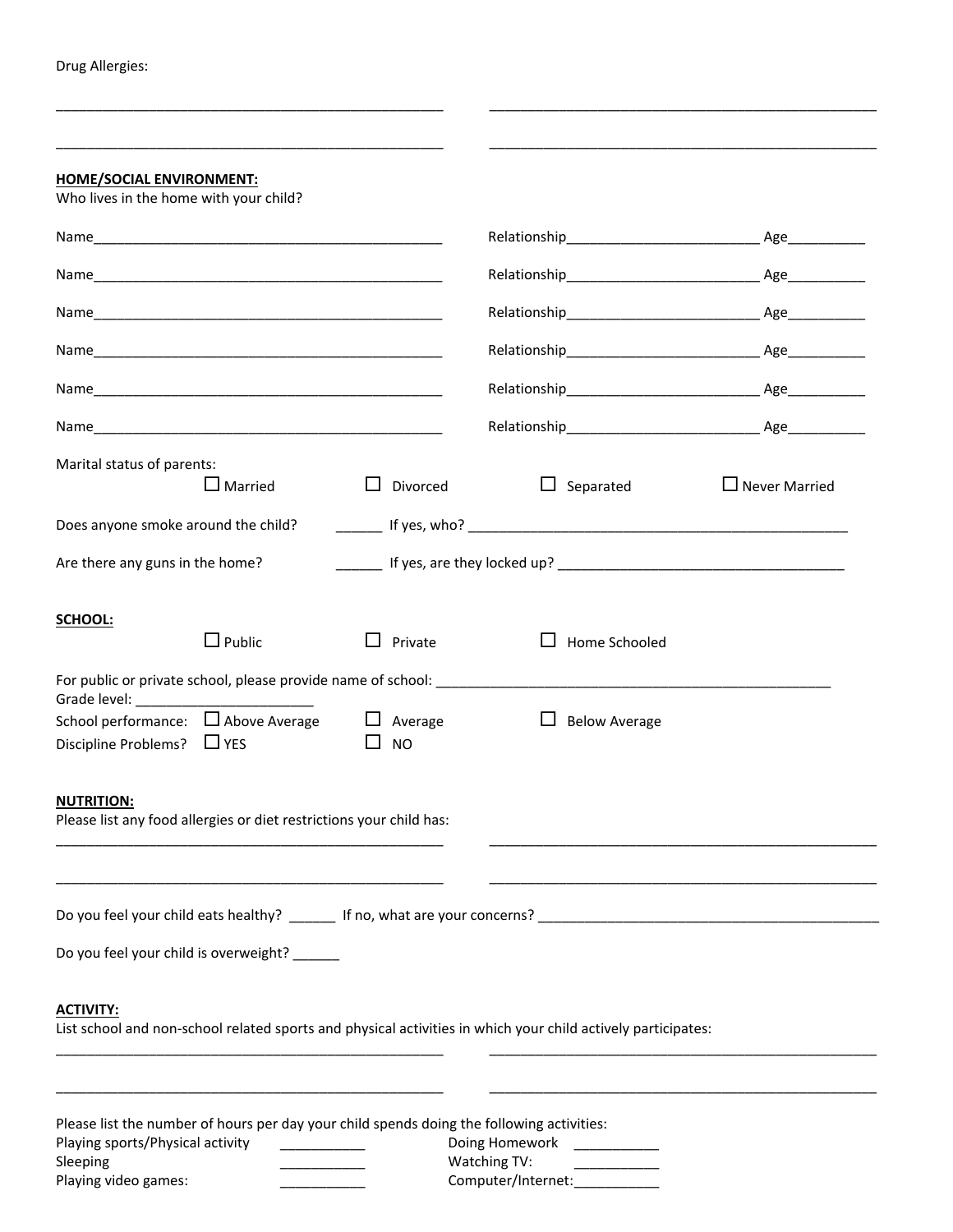Drug Allergies:

| <b>HOME/SOCIAL ENVIRONMENT:</b>                                        |                                                                                           |                             |                                                                                                                                                                                                                               |                      |
|------------------------------------------------------------------------|-------------------------------------------------------------------------------------------|-----------------------------|-------------------------------------------------------------------------------------------------------------------------------------------------------------------------------------------------------------------------------|----------------------|
| Who lives in the home with your child?                                 |                                                                                           |                             |                                                                                                                                                                                                                               |                      |
|                                                                        |                                                                                           |                             |                                                                                                                                                                                                                               |                      |
|                                                                        |                                                                                           |                             |                                                                                                                                                                                                                               |                      |
|                                                                        |                                                                                           |                             |                                                                                                                                                                                                                               |                      |
|                                                                        |                                                                                           |                             |                                                                                                                                                                                                                               |                      |
|                                                                        |                                                                                           |                             | Relationship Age Age                                                                                                                                                                                                          |                      |
|                                                                        |                                                                                           |                             | Relationship Age Age                                                                                                                                                                                                          |                      |
| Marital status of parents:                                             | $\Box$ Married                                                                            | Divorced<br>$\Box$          | $\Box$ Separated                                                                                                                                                                                                              | $\Box$ Never Married |
|                                                                        |                                                                                           |                             |                                                                                                                                                                                                                               |                      |
| Are there any guns in the home?                                        |                                                                                           |                             |                                                                                                                                                                                                                               |                      |
| SCHOOL:                                                                | $\Box$ Public                                                                             | Private<br>$\perp$          | Home Schooled<br>$\mathbf{L}$                                                                                                                                                                                                 |                      |
|                                                                        |                                                                                           |                             | For public or private school, please provide name of school: example and a set of the set of the set of the set of the set of the set of the set of the set of the set of the set of the set of the set of the set of the set |                      |
| School performance: □ Above Average<br>Discipline Problems? $\Box$ YES |                                                                                           | $\Box$ Average<br><b>NO</b> | $\Box$ Below Average                                                                                                                                                                                                          |                      |
| <b>NUTRITION:</b>                                                      | Please list any food allergies or diet restrictions your child has:                       |                             |                                                                                                                                                                                                                               |                      |
|                                                                        | Do you feel your child is overweight?                                                     |                             | Do you feel your child eats healthy? ________ If no, what are your concerns? _________________________________                                                                                                                |                      |
| <b>ACTIVITY:</b>                                                       |                                                                                           |                             | List school and non-school related sports and physical activities in which your child actively participates:                                                                                                                  |                      |
| Playing sports/Physical activity                                       | Please list the number of hours per day your child spends doing the following activities: |                             | Doing Homework                                                                                                                                                                                                                |                      |

\_\_\_\_\_\_\_\_\_\_\_\_\_\_\_\_\_\_\_\_\_\_\_\_\_\_\_\_\_\_\_\_\_\_\_\_\_\_\_\_\_\_\_\_\_\_\_\_\_\_ \_\_\_\_\_\_\_\_\_\_\_\_\_\_\_\_\_\_\_\_\_\_\_\_\_\_\_\_\_\_\_\_\_\_\_\_\_\_\_\_\_\_\_\_\_\_\_\_\_\_

Sleeping \_\_\_\_\_\_\_\_\_\_\_ Watching TV: \_\_\_\_\_\_\_\_\_\_\_ Computer/Internet: \_\_\_\_\_\_\_\_\_\_